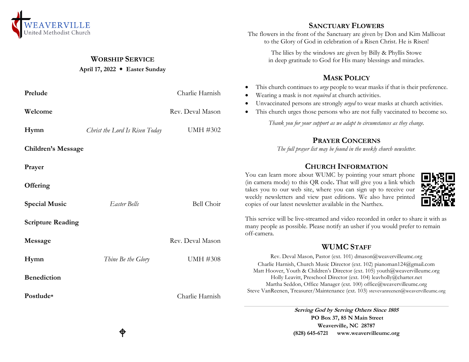

### **WORSHIP SERVICE**

### **April 17, 2022 Easter Sunday**

| Prelude                   |                                | Charlie Harnish   | This church continues to <i>urge</i> people to wear masks if that is their preference.<br>$\bullet$<br>Wearing a mask is not <i>required</i> at church activities.<br>٠<br>Unvaccinated persons are strongly urged to wear masks at church activities.<br>$\bullet$                                             |
|---------------------------|--------------------------------|-------------------|-----------------------------------------------------------------------------------------------------------------------------------------------------------------------------------------------------------------------------------------------------------------------------------------------------------------|
| Welcome                   |                                | Rev. Deval Mason  | This church urges those persons who are not fully vaccinated to become so.<br>٠                                                                                                                                                                                                                                 |
| Hymn                      | Christ the Lord Is Risen Today | <b>UMH #302</b>   | Thank you for your support as we adapt to circumstances as they change.                                                                                                                                                                                                                                         |
|                           |                                |                   | <b>PRAYER CONCERNS</b>                                                                                                                                                                                                                                                                                          |
| <b>Children's Message</b> |                                |                   | The full prayer list may be found in the weekly church newsletter.                                                                                                                                                                                                                                              |
| Prayer                    |                                |                   | <b>CHURCH INFORMATION</b>                                                                                                                                                                                                                                                                                       |
| Offering                  |                                |                   | You can learn more about WUMC by pointing your smart phone<br>(in camera mode) to this QR code. That will give you a link which<br>takes you to our web site, where you can sign up to receive our<br>weekly newsletters and view past editions. We also have printed                                           |
| <b>Special Music</b>      | Easter Bells                   | <b>Bell Choir</b> | copies of our latest newsletter available in the Narthex.                                                                                                                                                                                                                                                       |
| <b>Scripture Reading</b>  |                                |                   | This service will be live-streamed and video recorded in order to share it with as<br>many people as possible. Please notify an usher if you would prefer to remain<br>off-camera.                                                                                                                              |
| Message                   |                                | Rev. Deval Mason  | <b>WUMC STAFF</b>                                                                                                                                                                                                                                                                                               |
| Hymn                      | Thine Be the Glory             | <b>UMH #308</b>   | Rev. Deval Mason, Pastor (ext. 101) dmason@weavervilleumc.org<br>Charlie Harnish, Church Music Director (ext. 102) pianoman124@gmail.com                                                                                                                                                                        |
| <b>Benediction</b>        |                                |                   | Matt Hoover, Youth & Children's Director (ext. 105) youth@weavervilleumc.org<br>Holly Leavitt, Preschool Director (ext. 104) leavholly@charter.net<br>Martha Seddon, Office Manager (ext. 100) office@weavervilleumc.org<br>Steve VanReenen, Treasurer/Maintenance (ext. 103) stevevanreenen@weavervilleumc.org |
| Postlude*                 |                                | Charlie Harnish   |                                                                                                                                                                                                                                                                                                                 |
|                           |                                |                   | Serving God by Serving Others Since 1805                                                                                                                                                                                                                                                                        |

**Serving God by Serving Others Since 1805 PO Box 37, 85 N Main Street Weaverville, NC 28787 (828) 645-6721 [www.weavervilleumc.org](http://www.weavervilleumc.org/)**

**SANCTUARY FLOWERS** The flowers in the front of the Sanctuary are given by Don and Kim Mallicoat to the Glory of God in celebration of a Risen Christ. He is Risen! The lilies by the windows are given by Billy & Phyllis Stowe in deep gratitude to God for His many blessings and miracles.

**MASK POLICY**